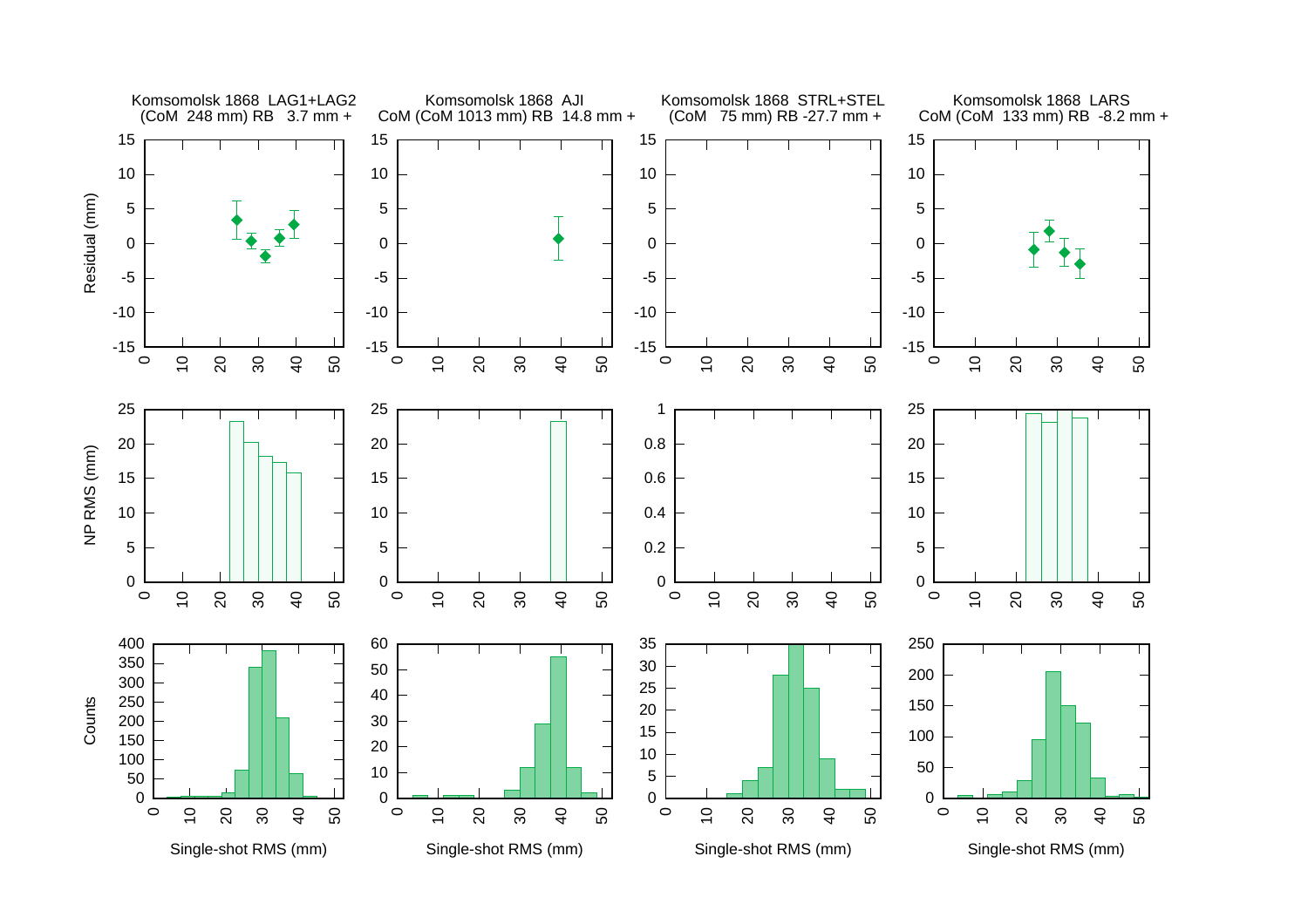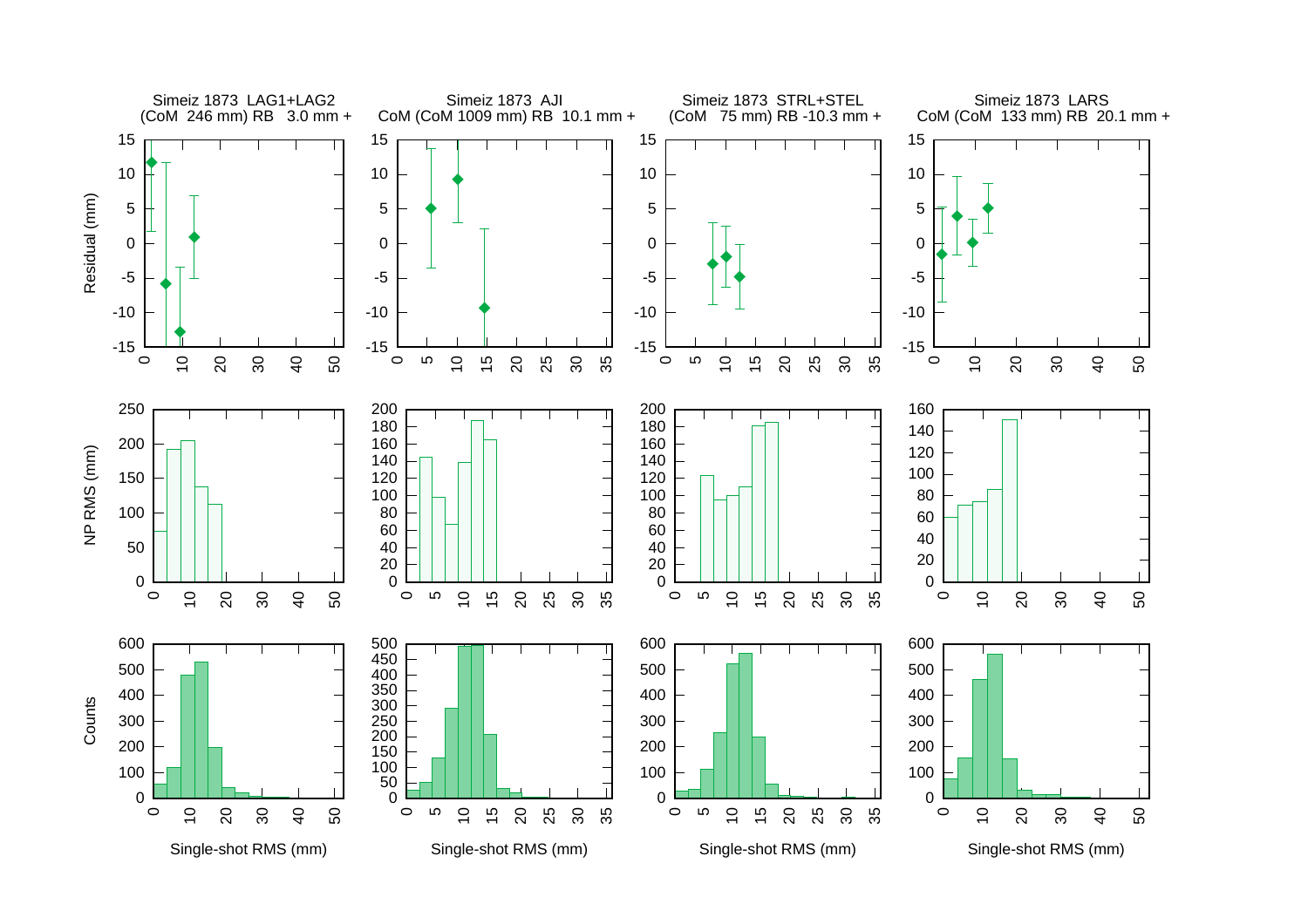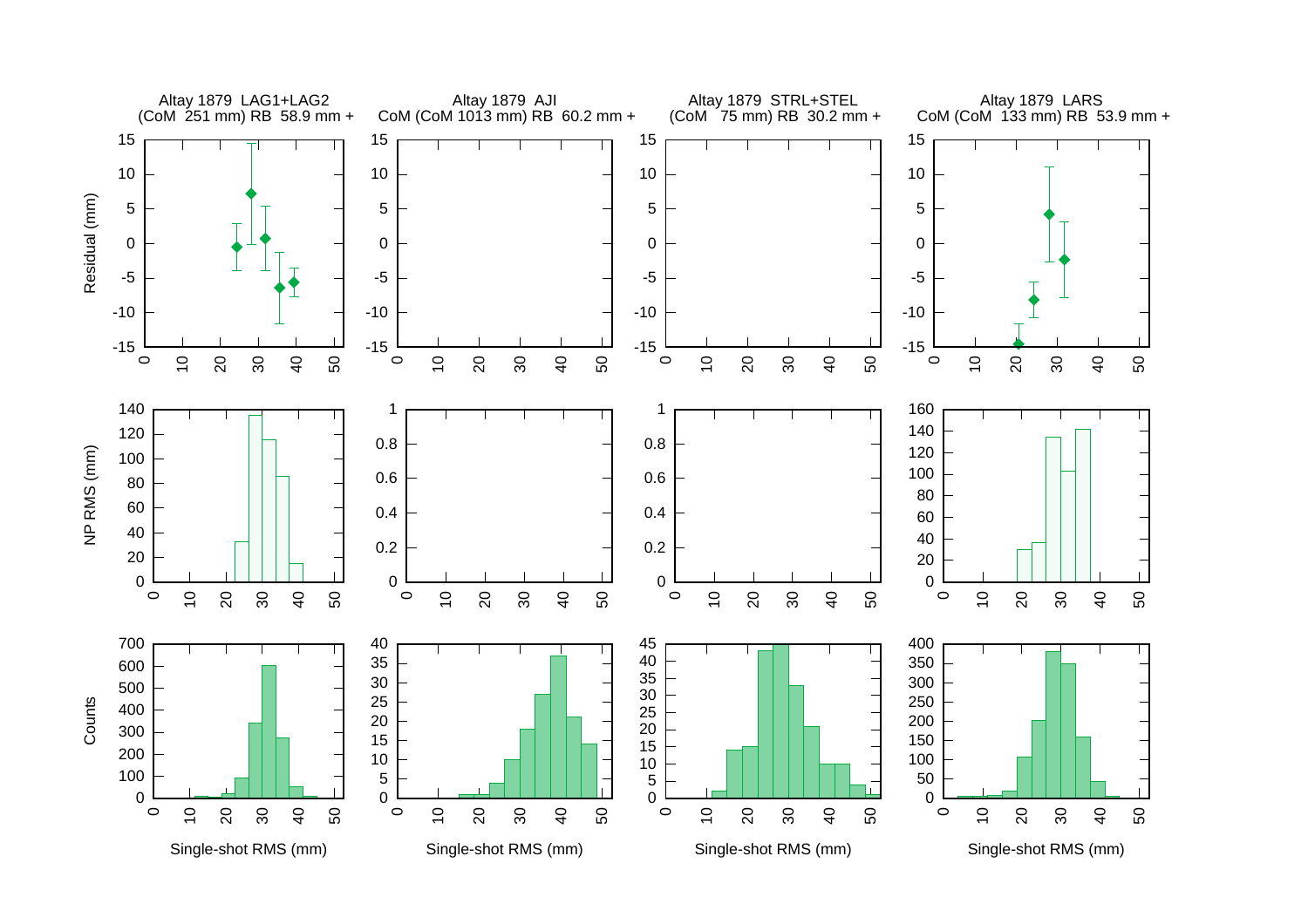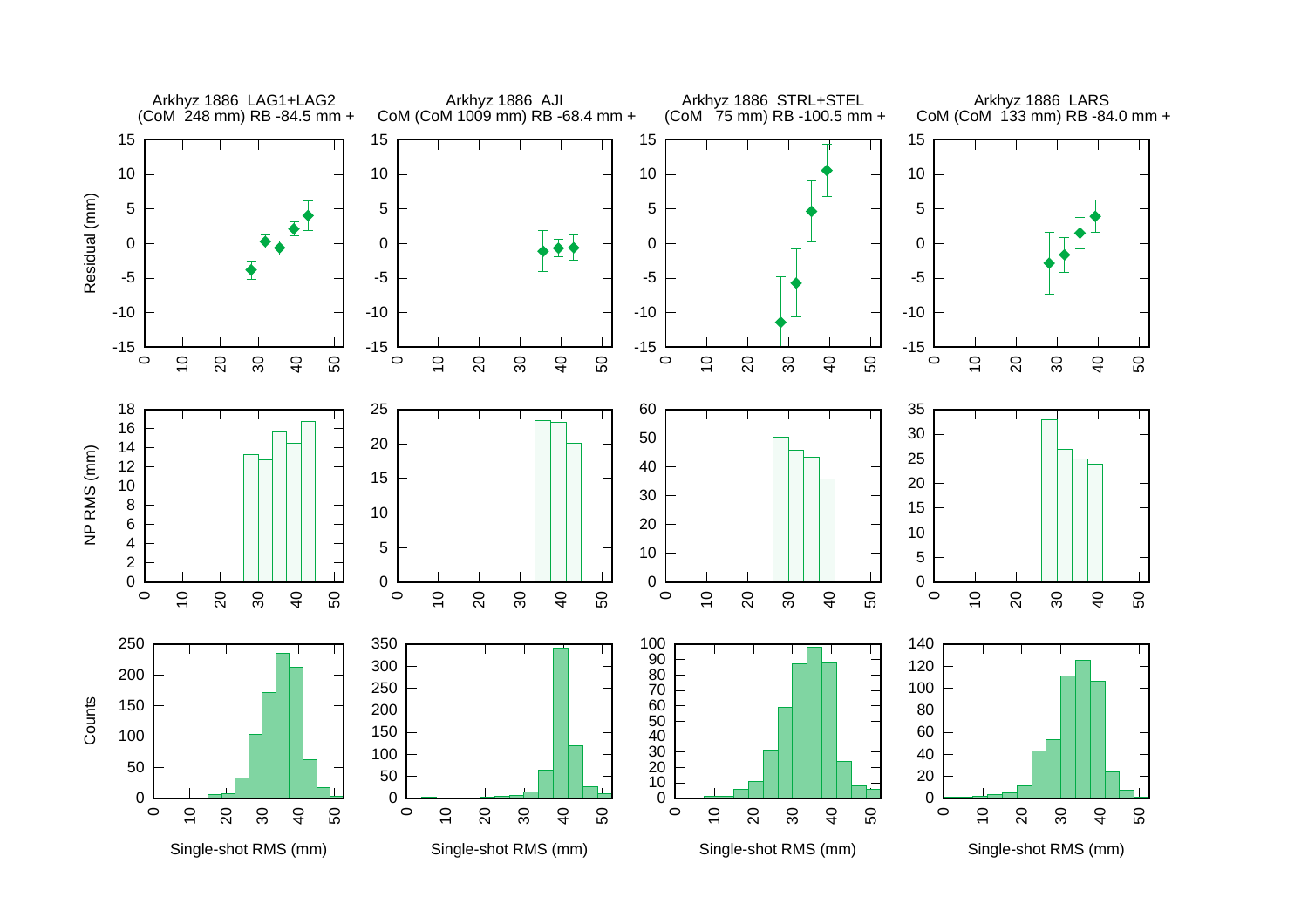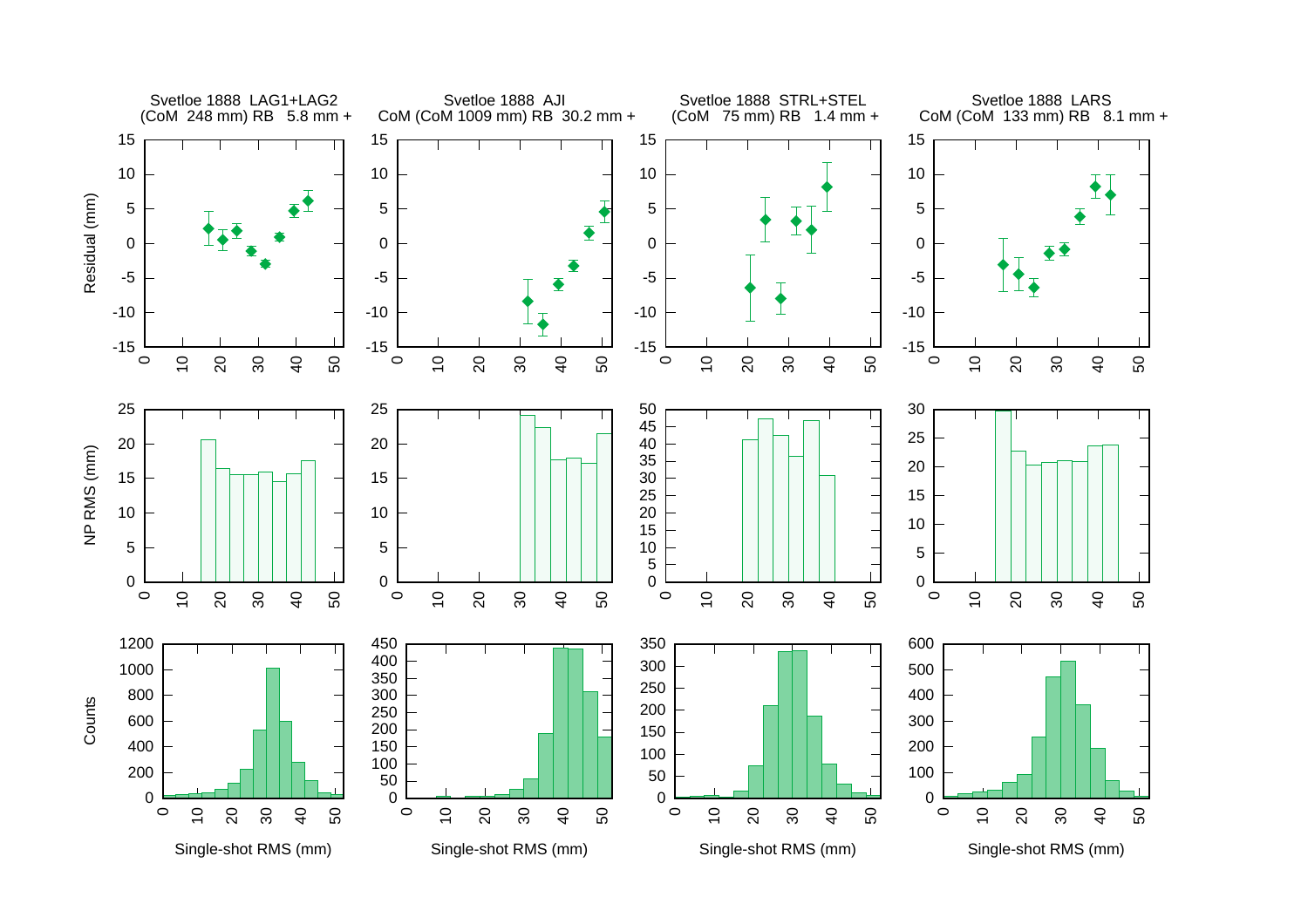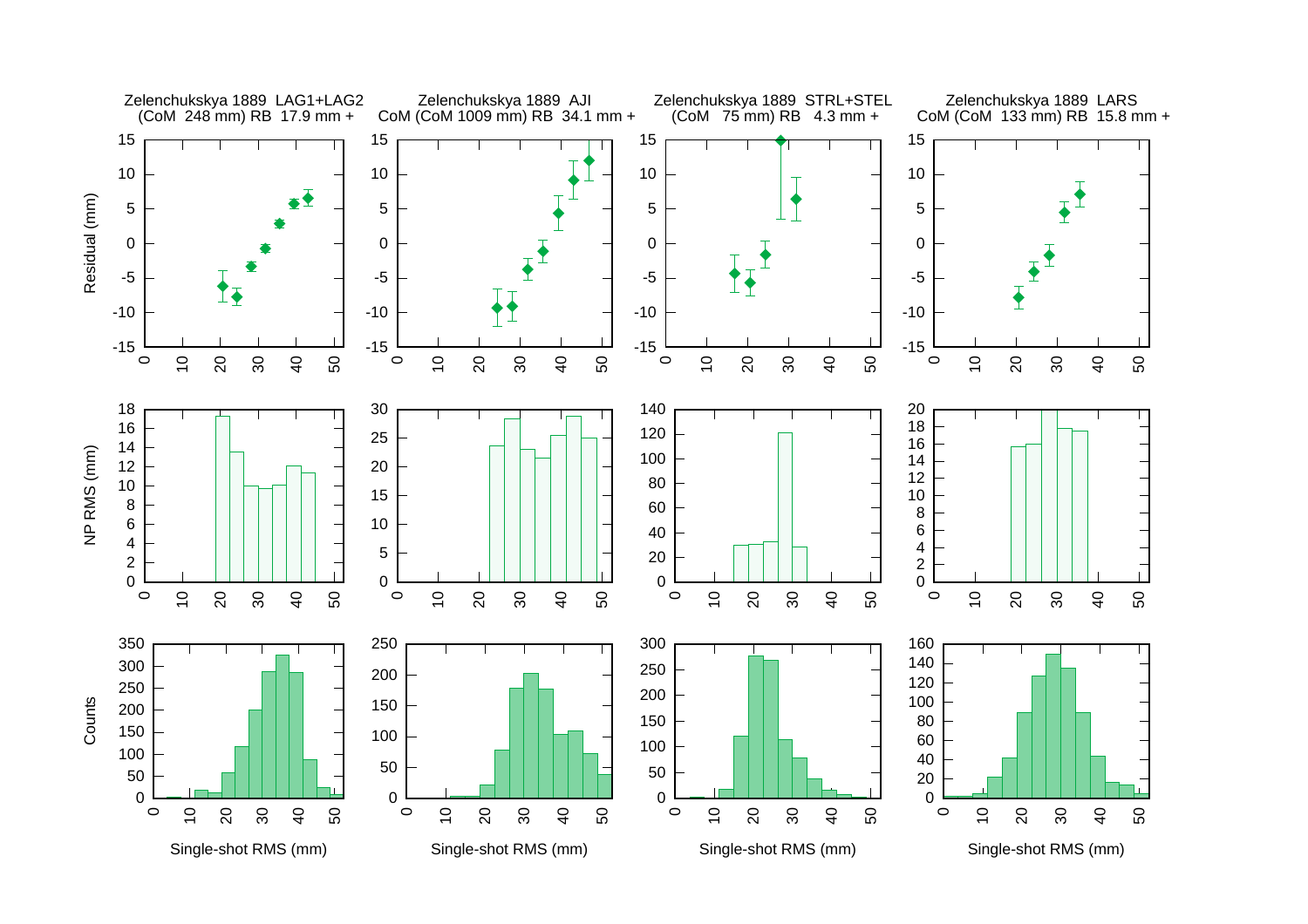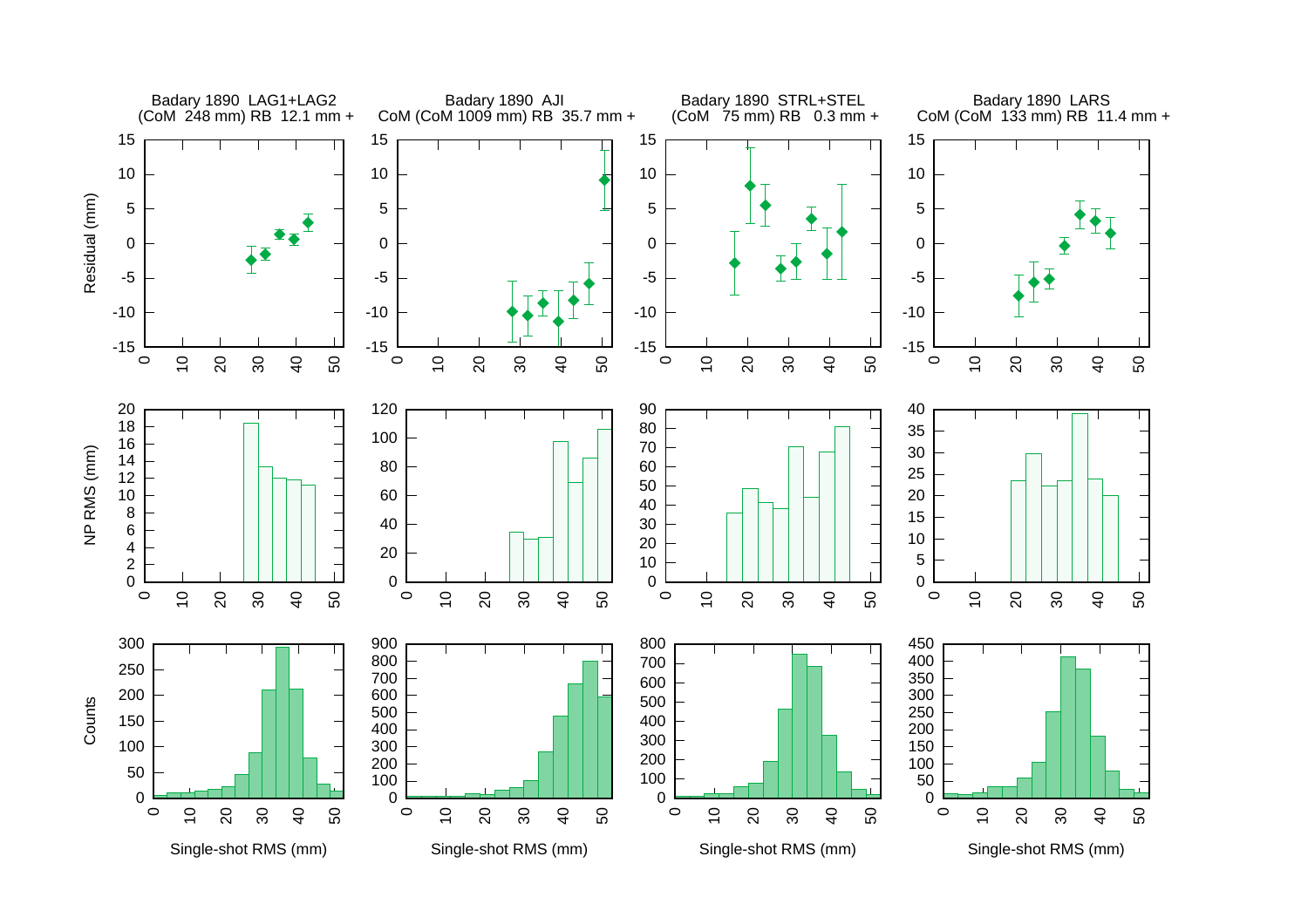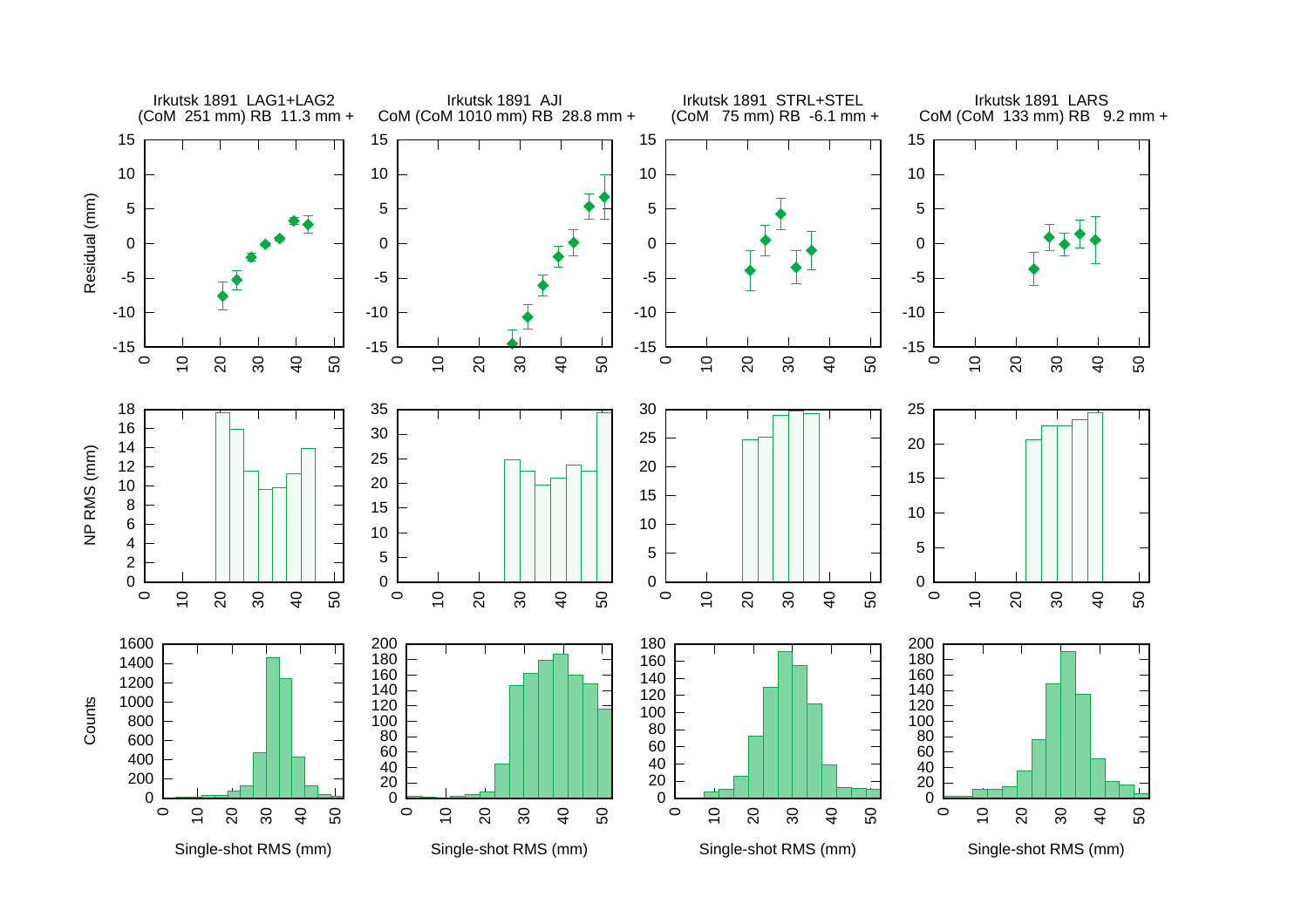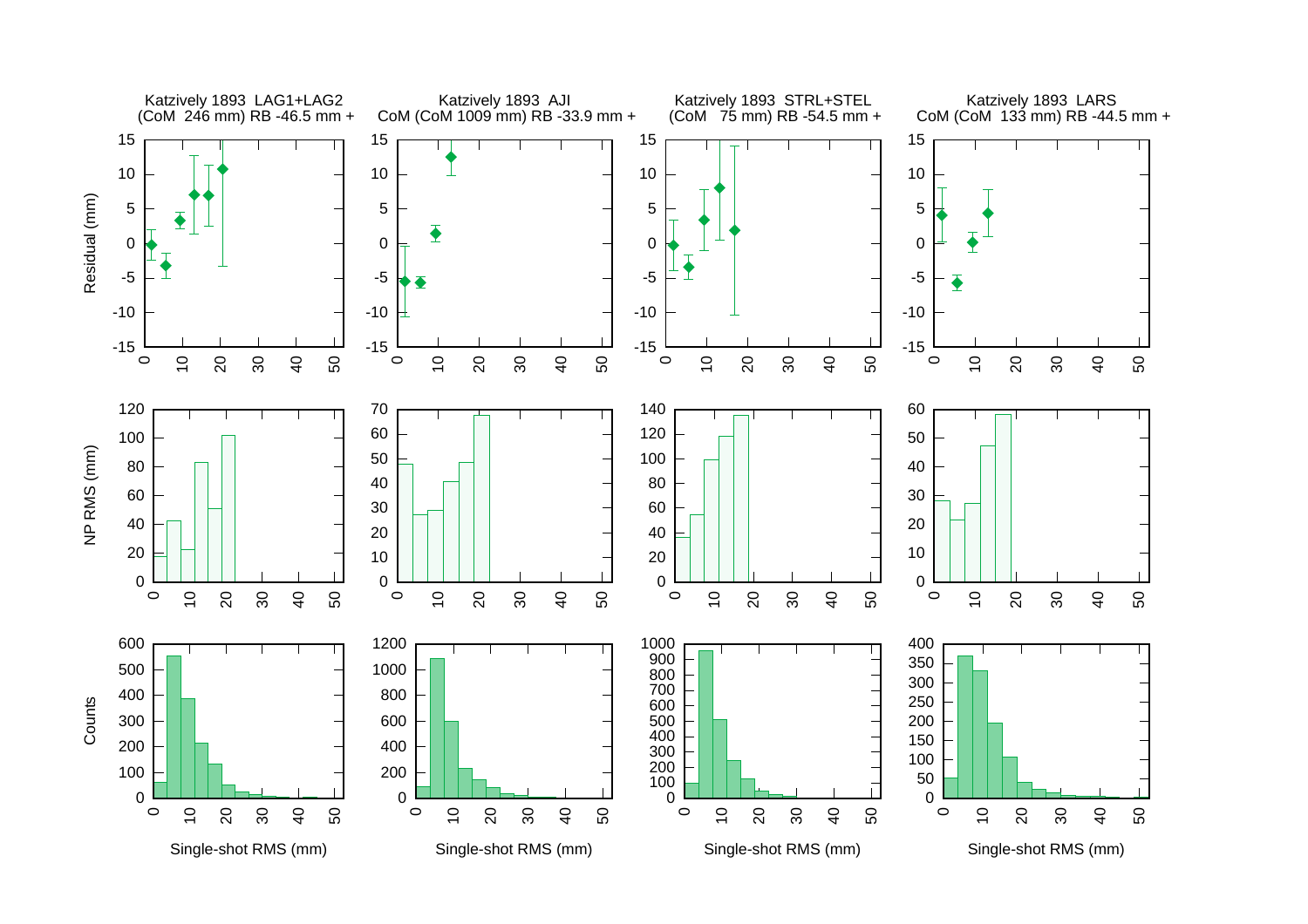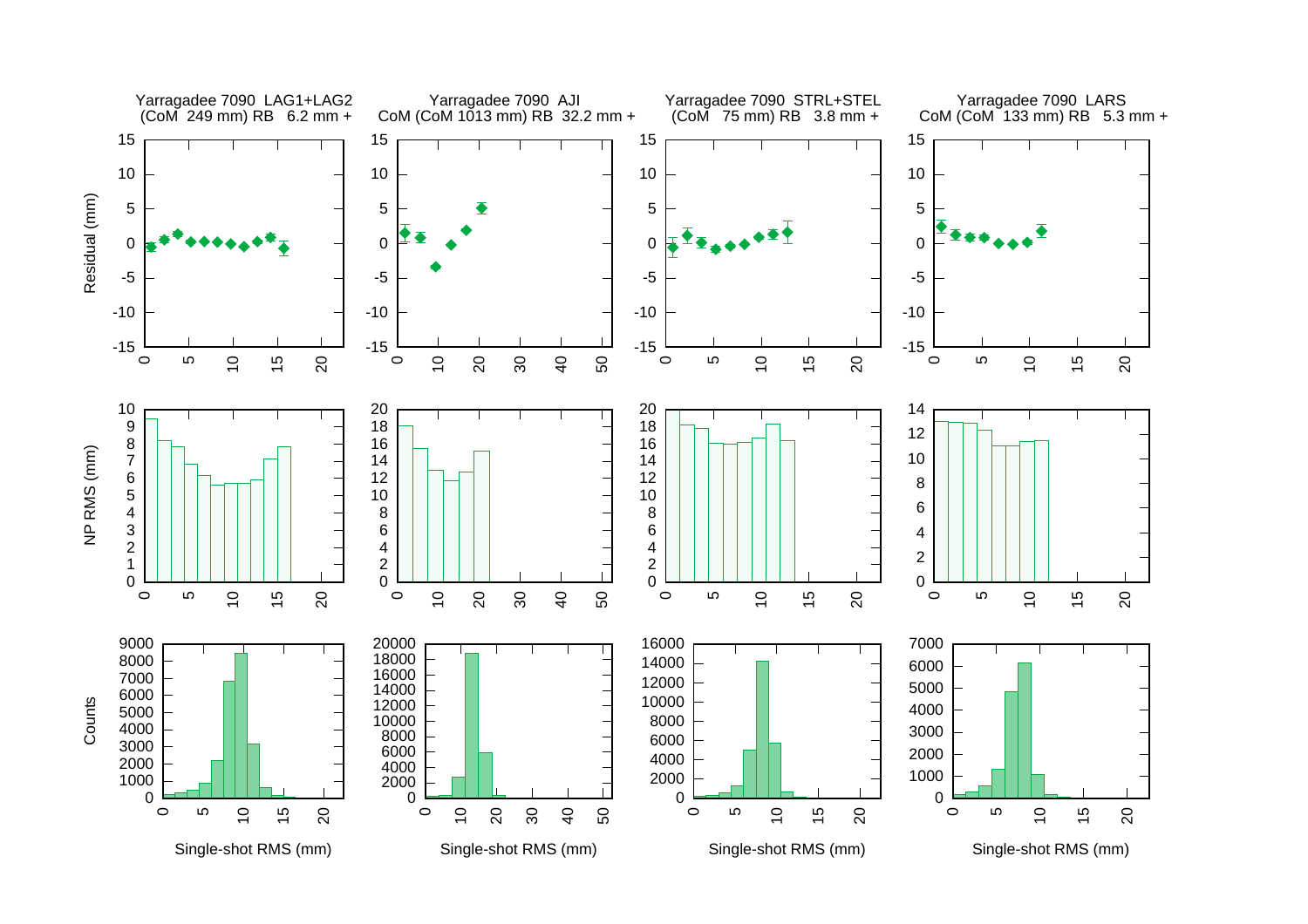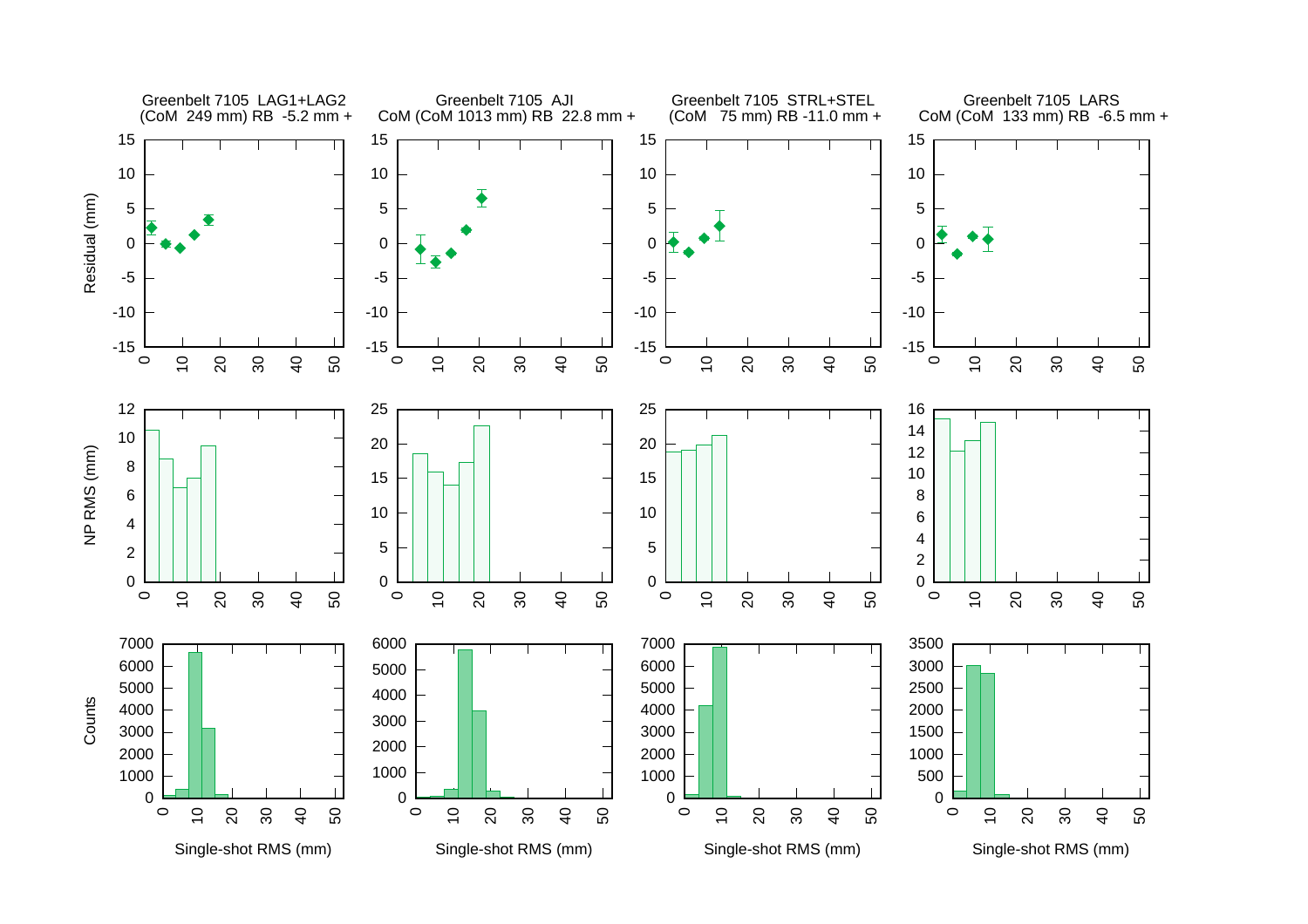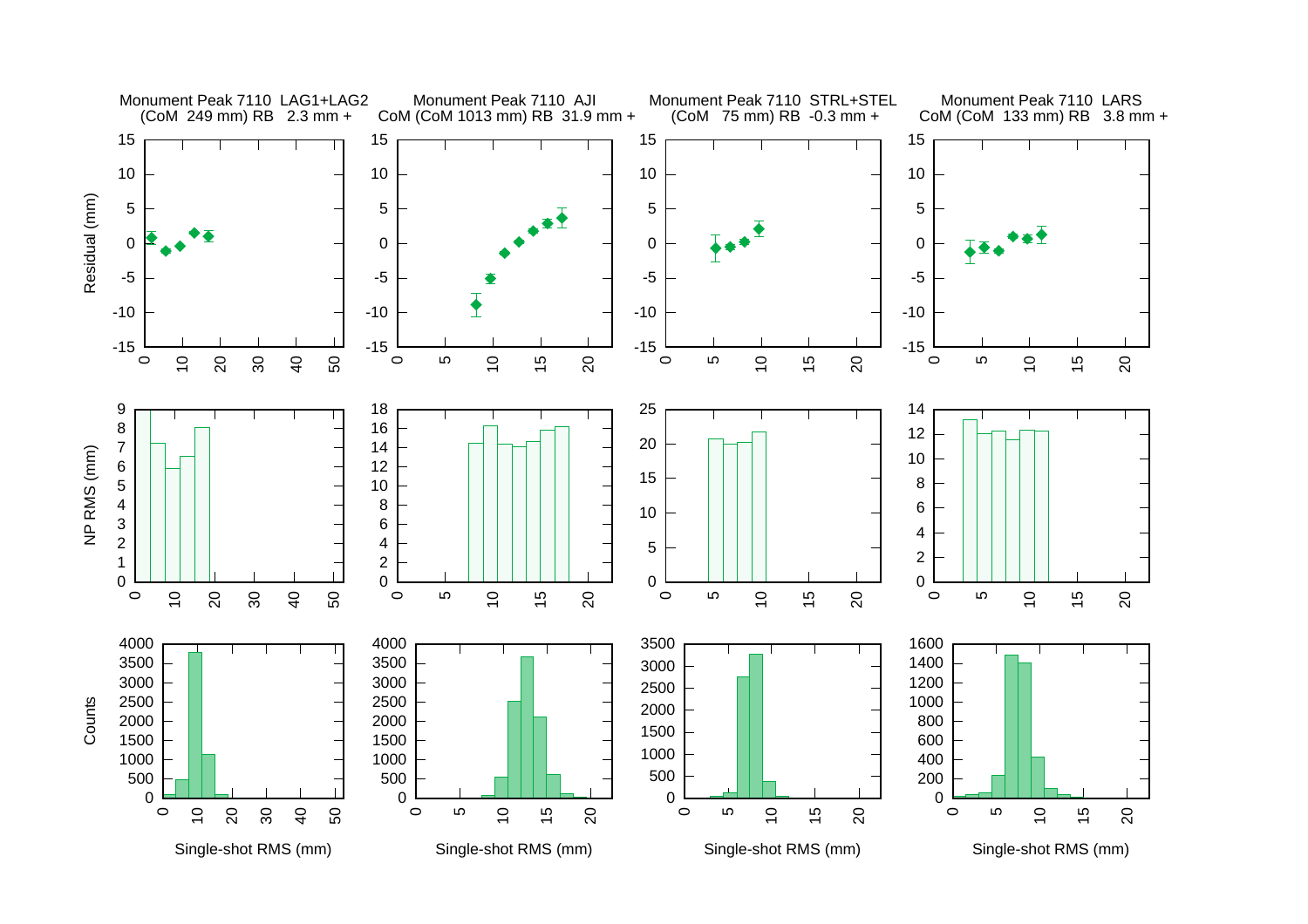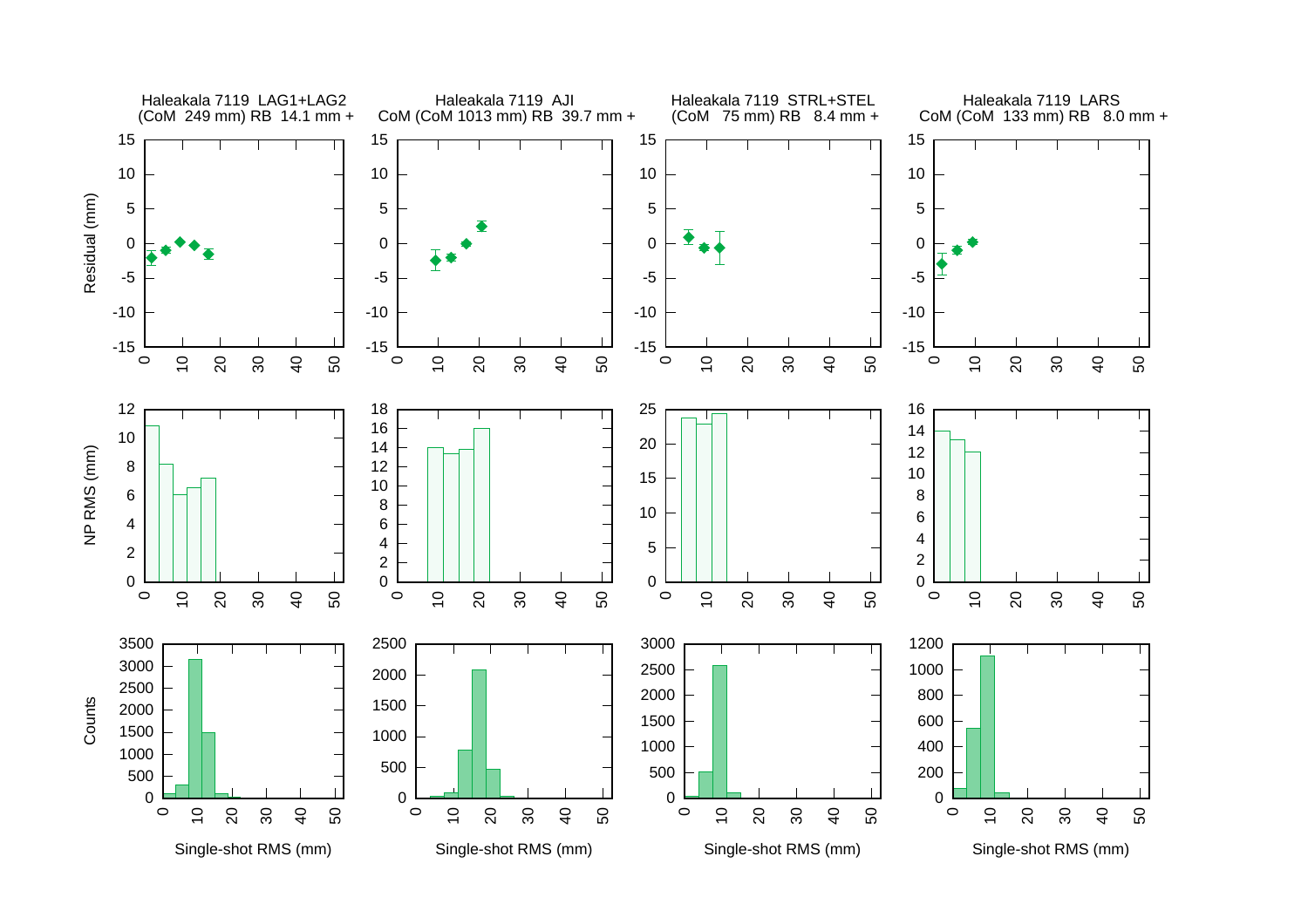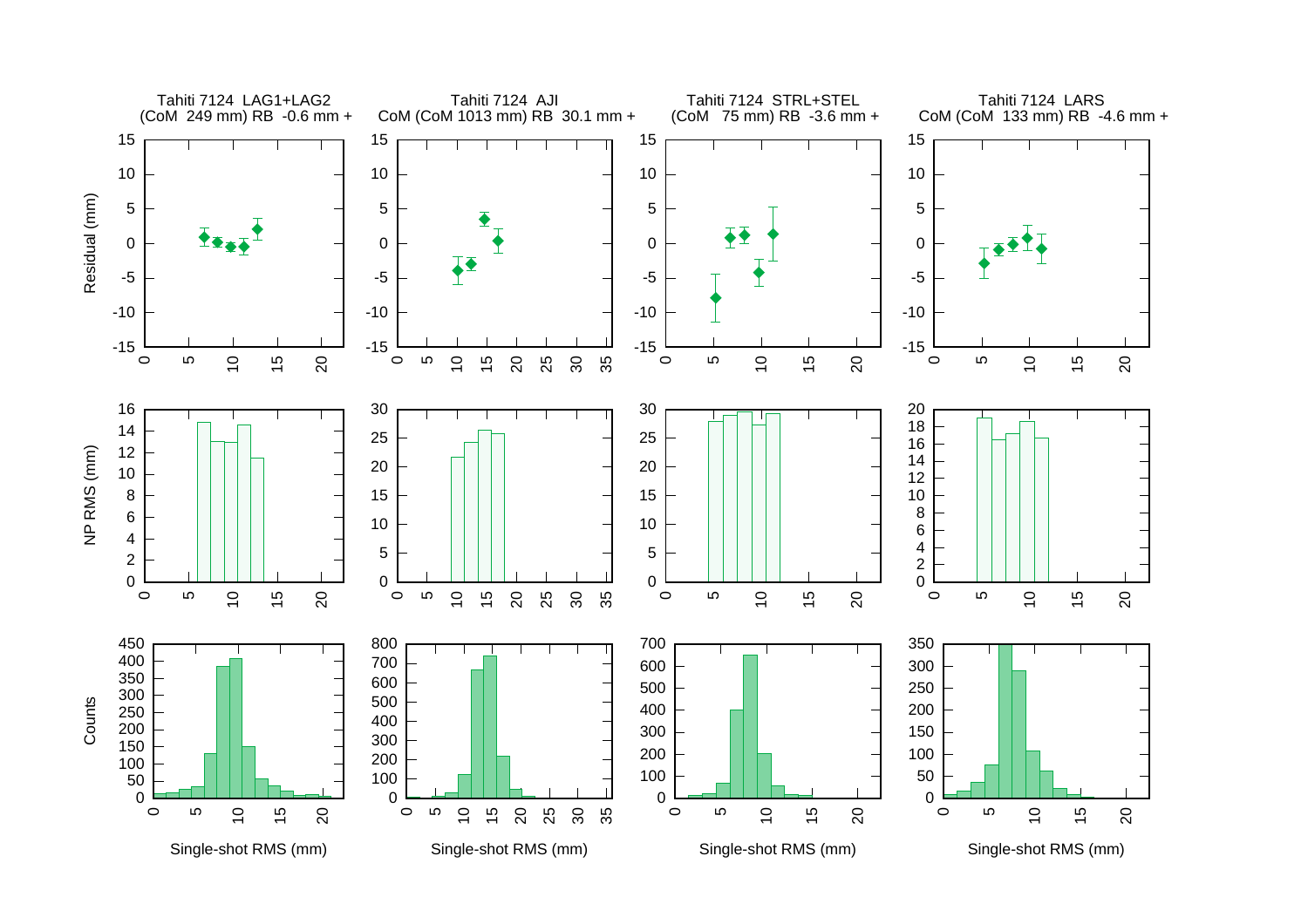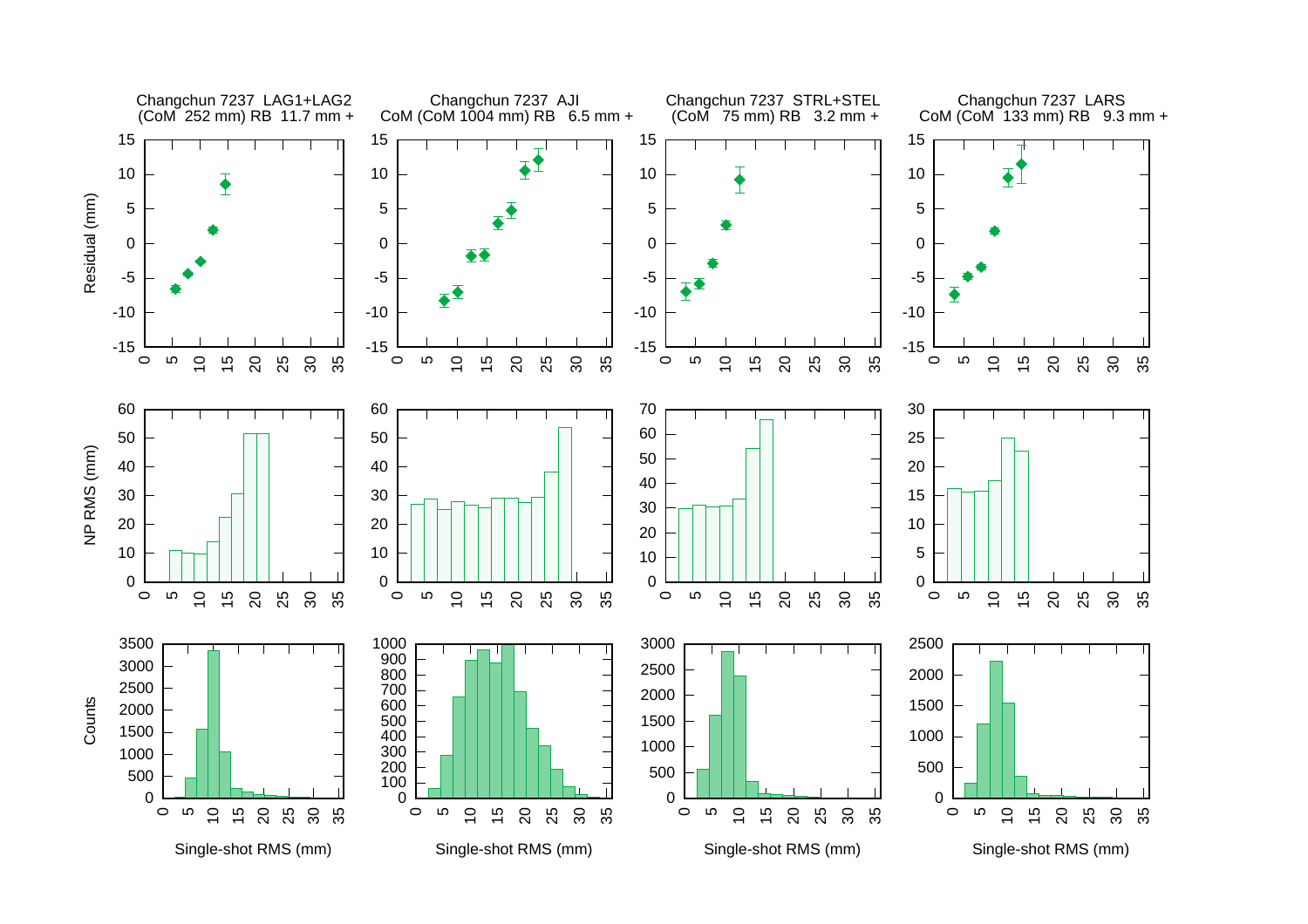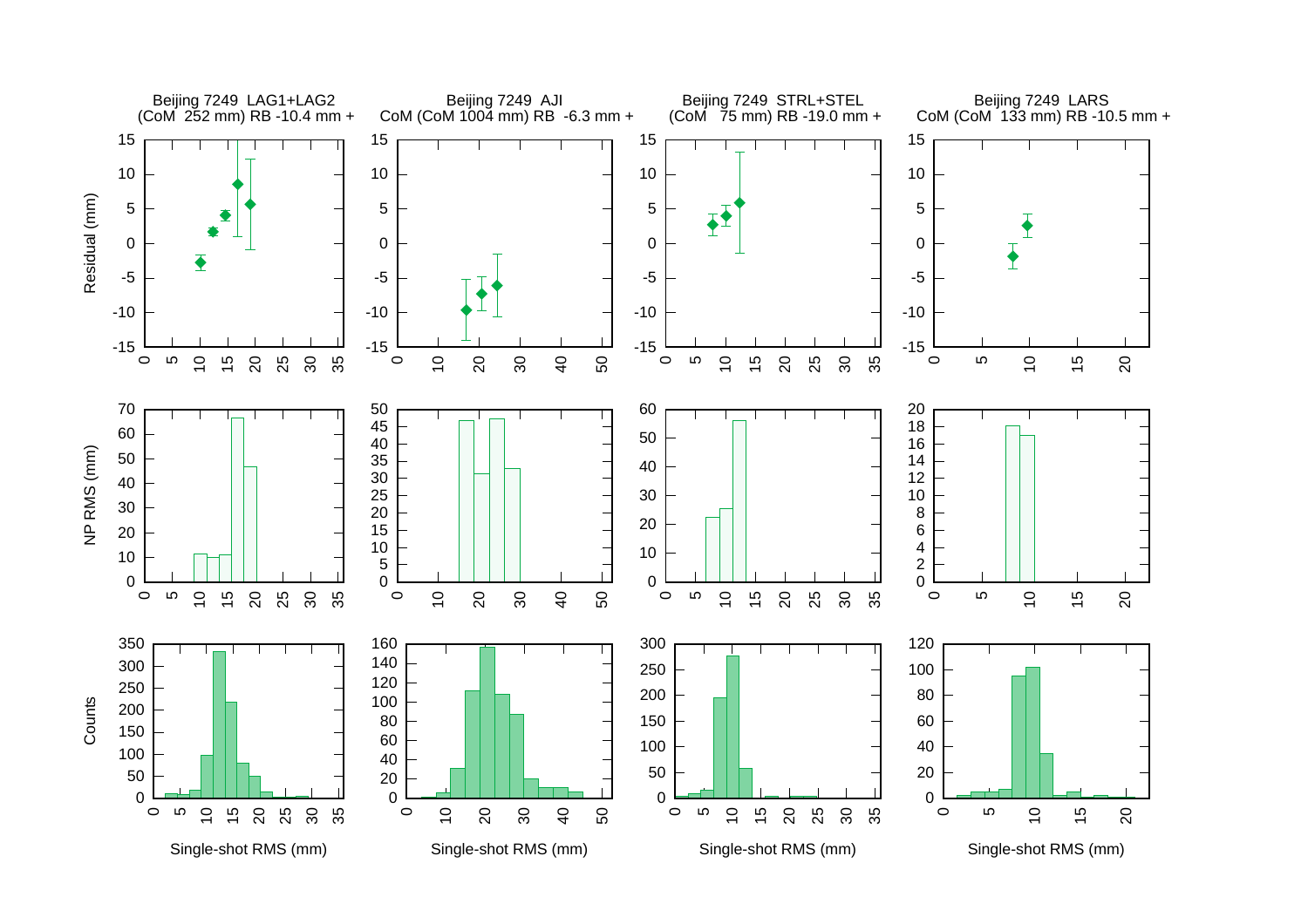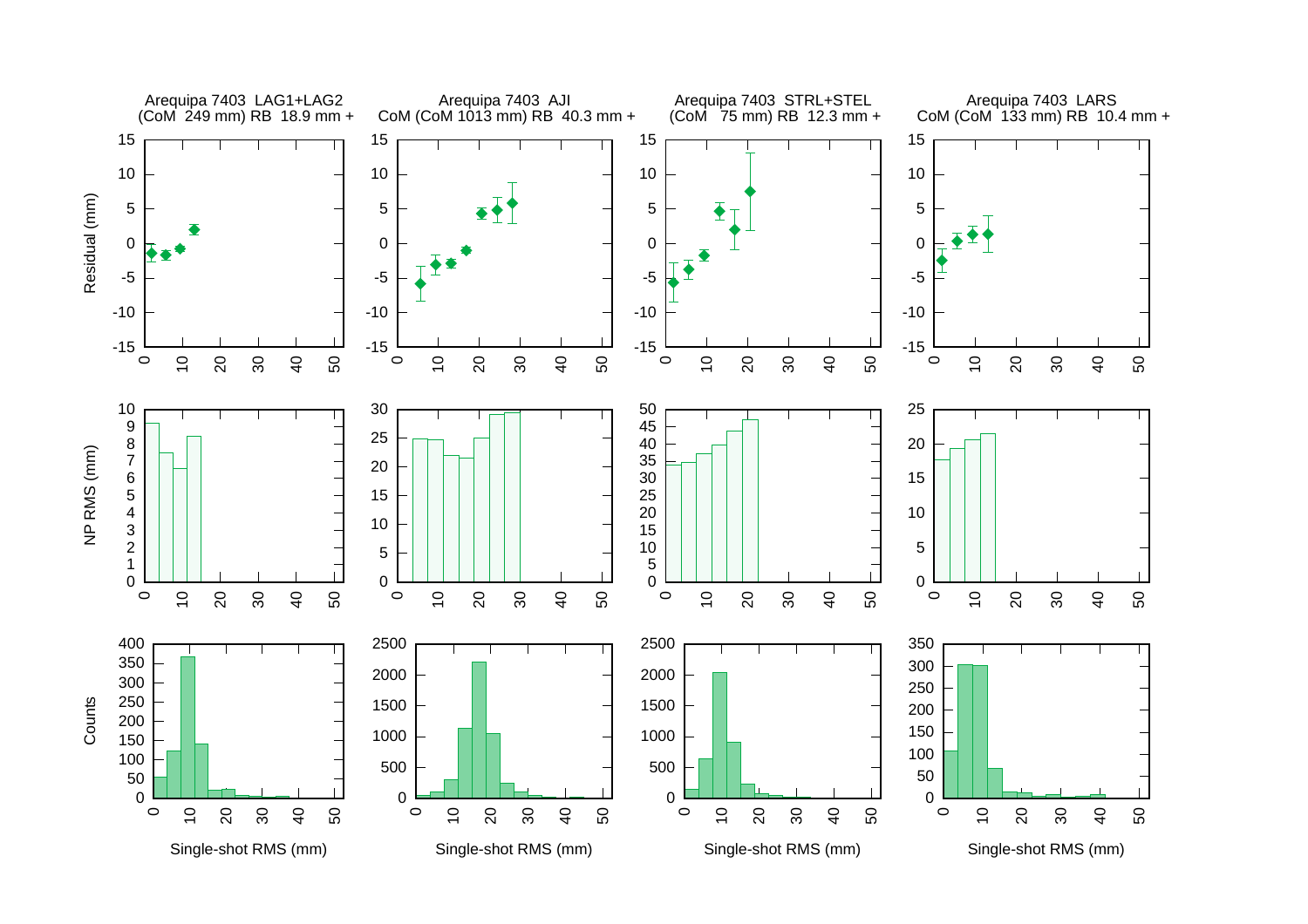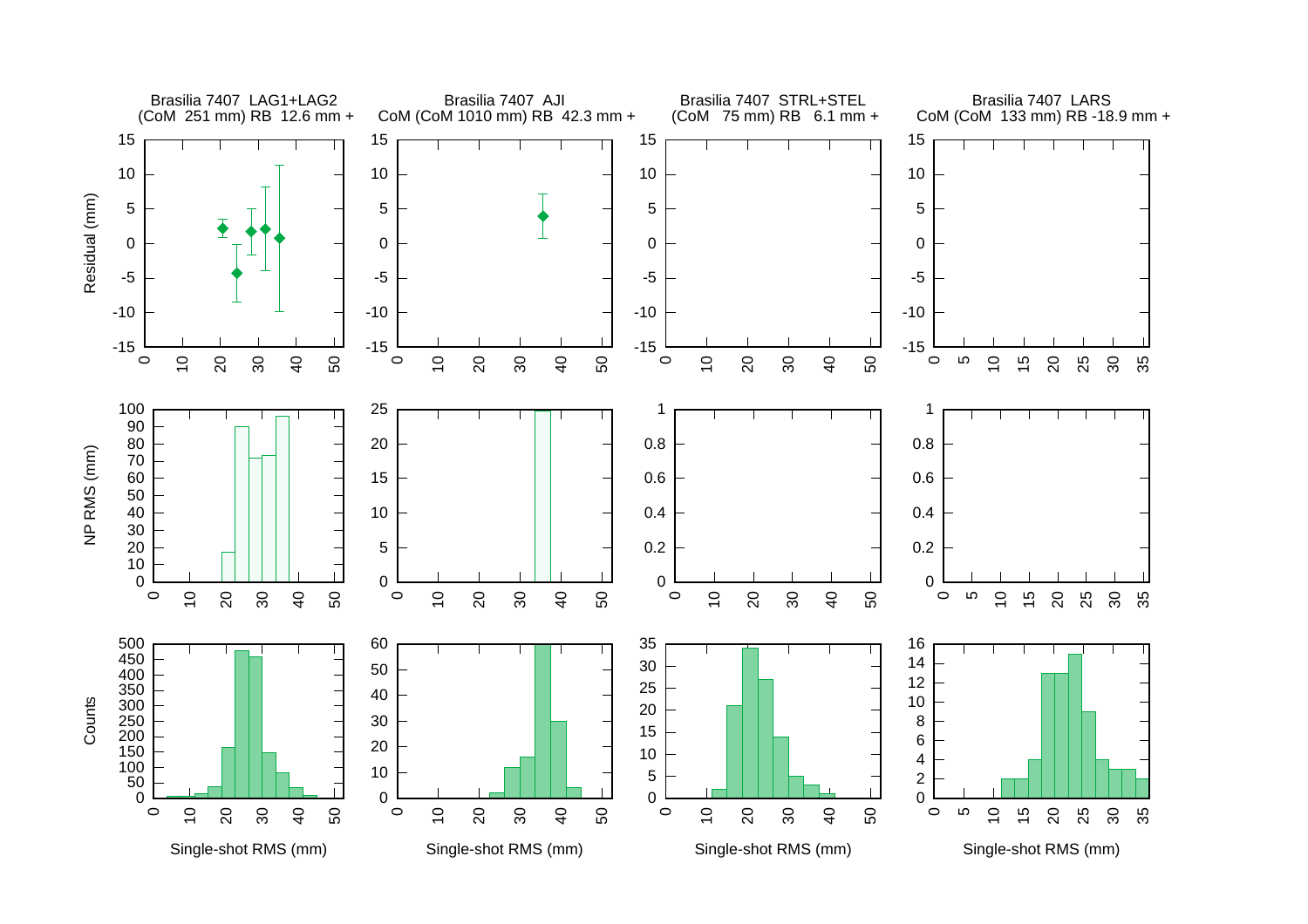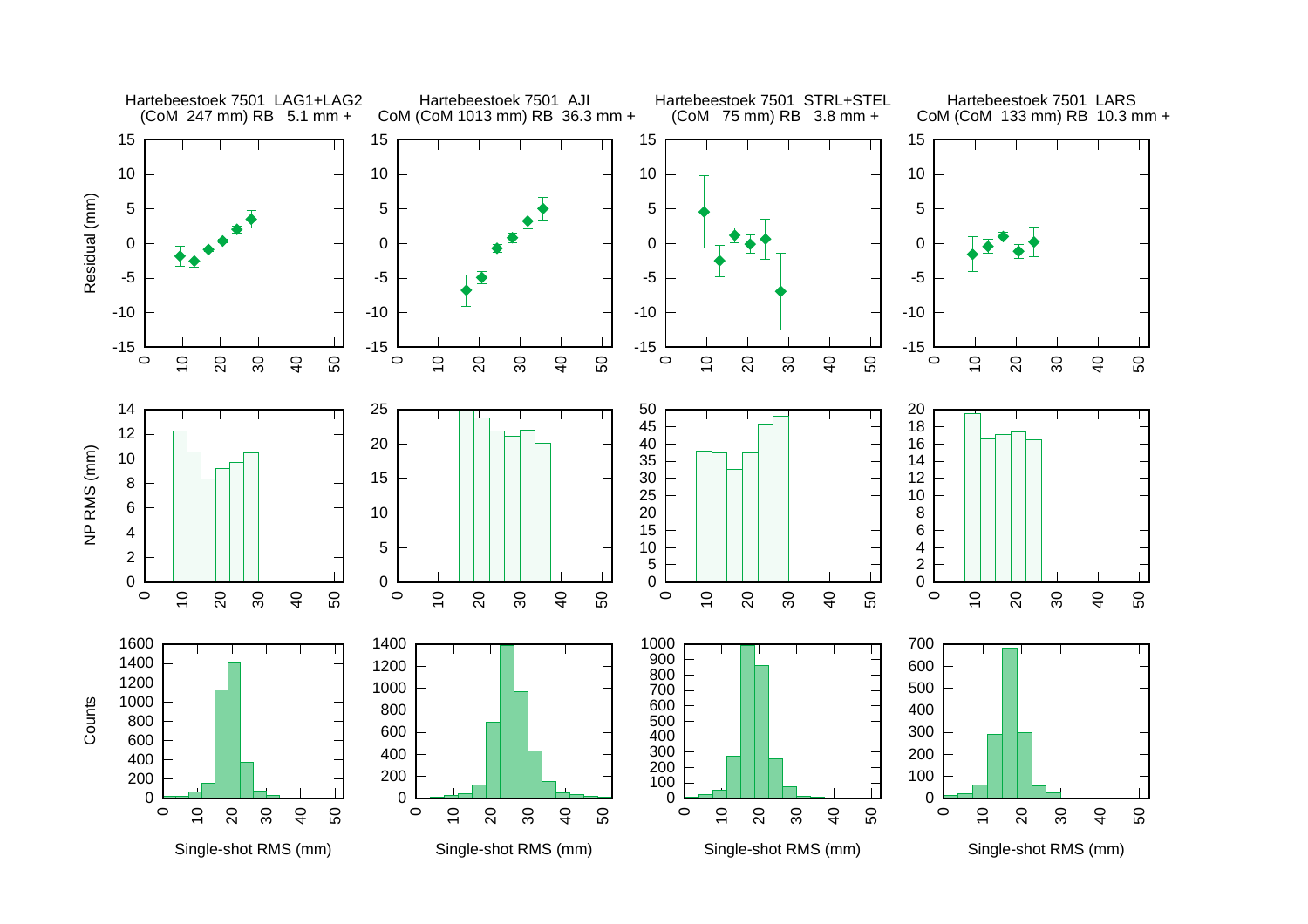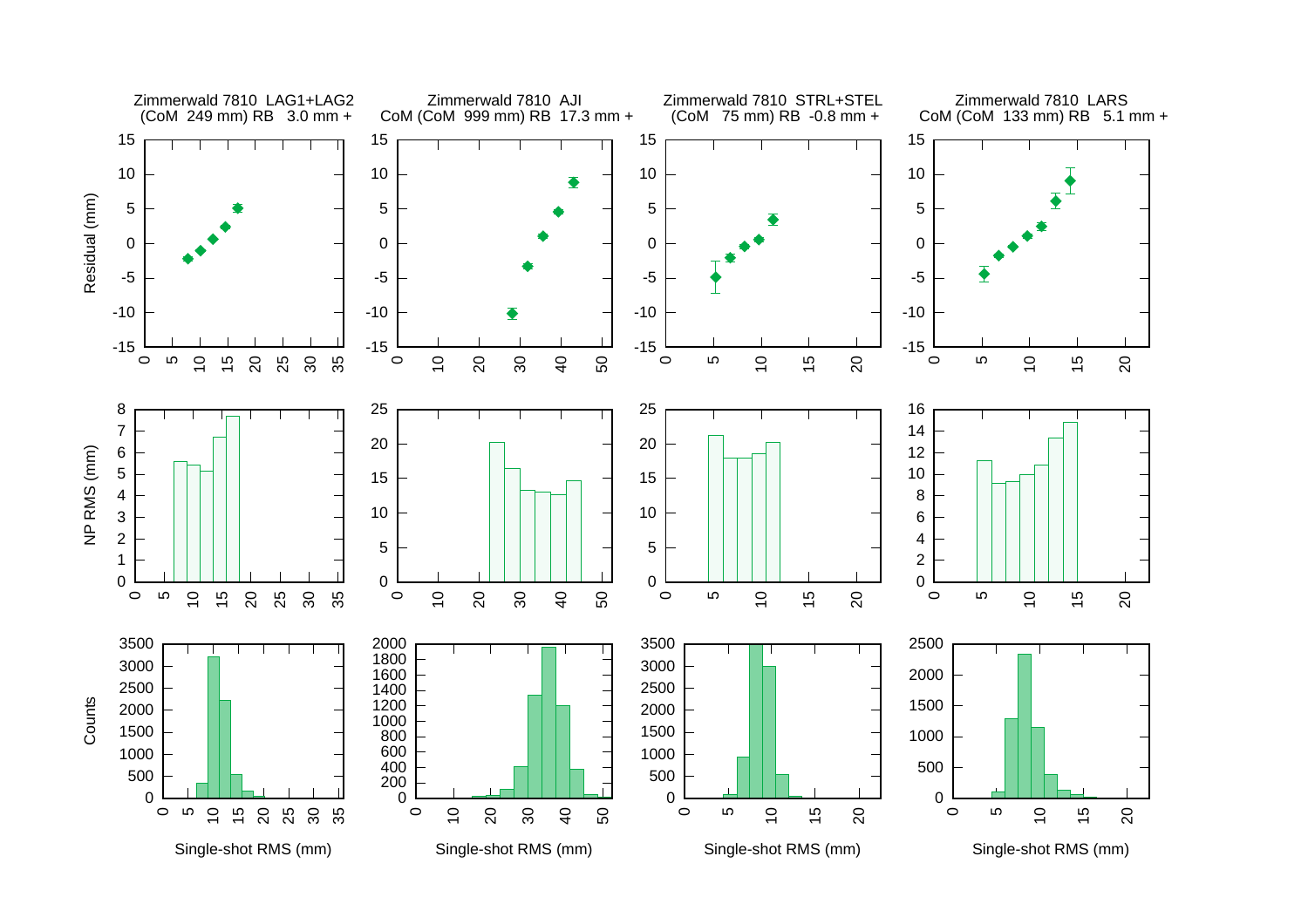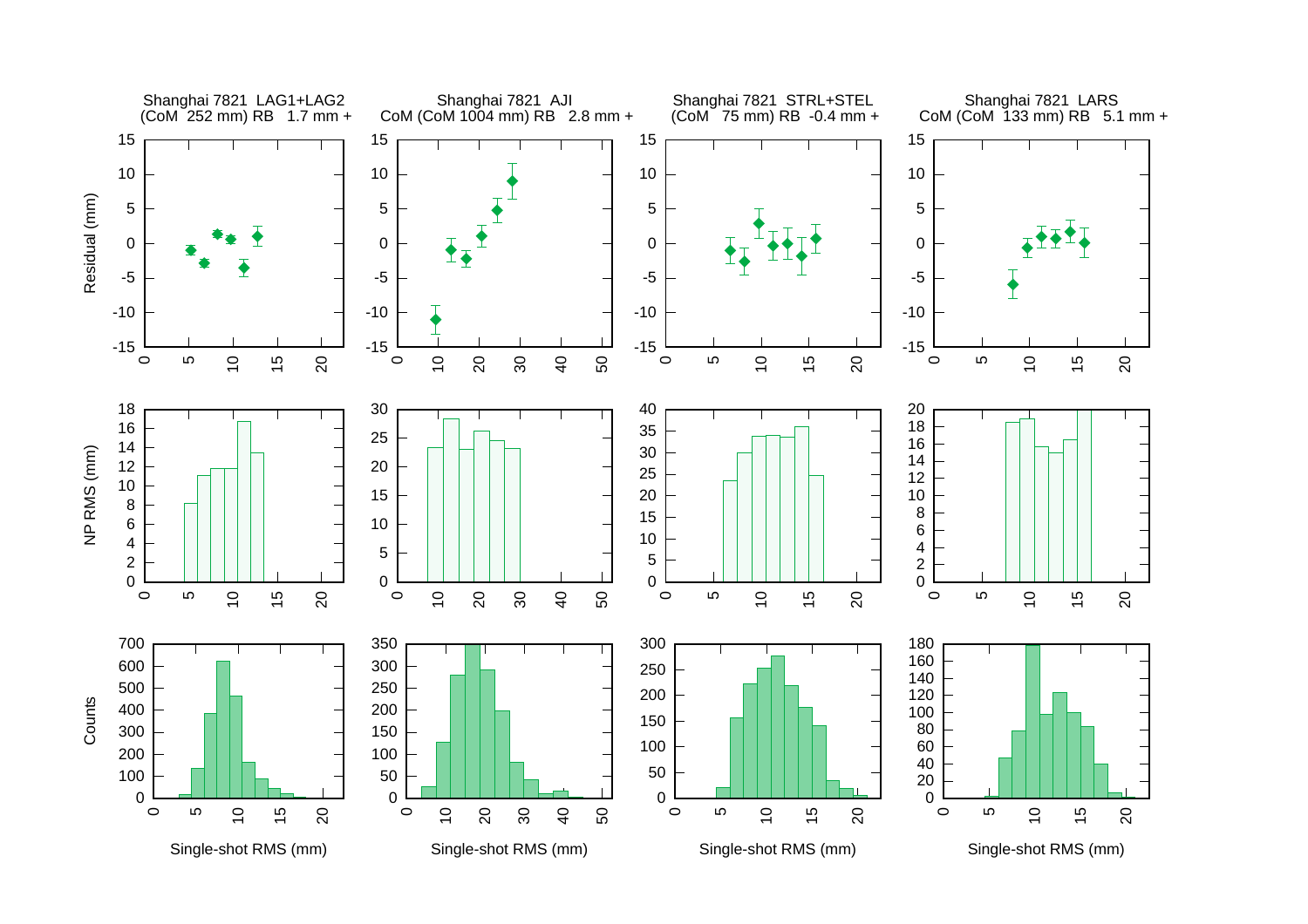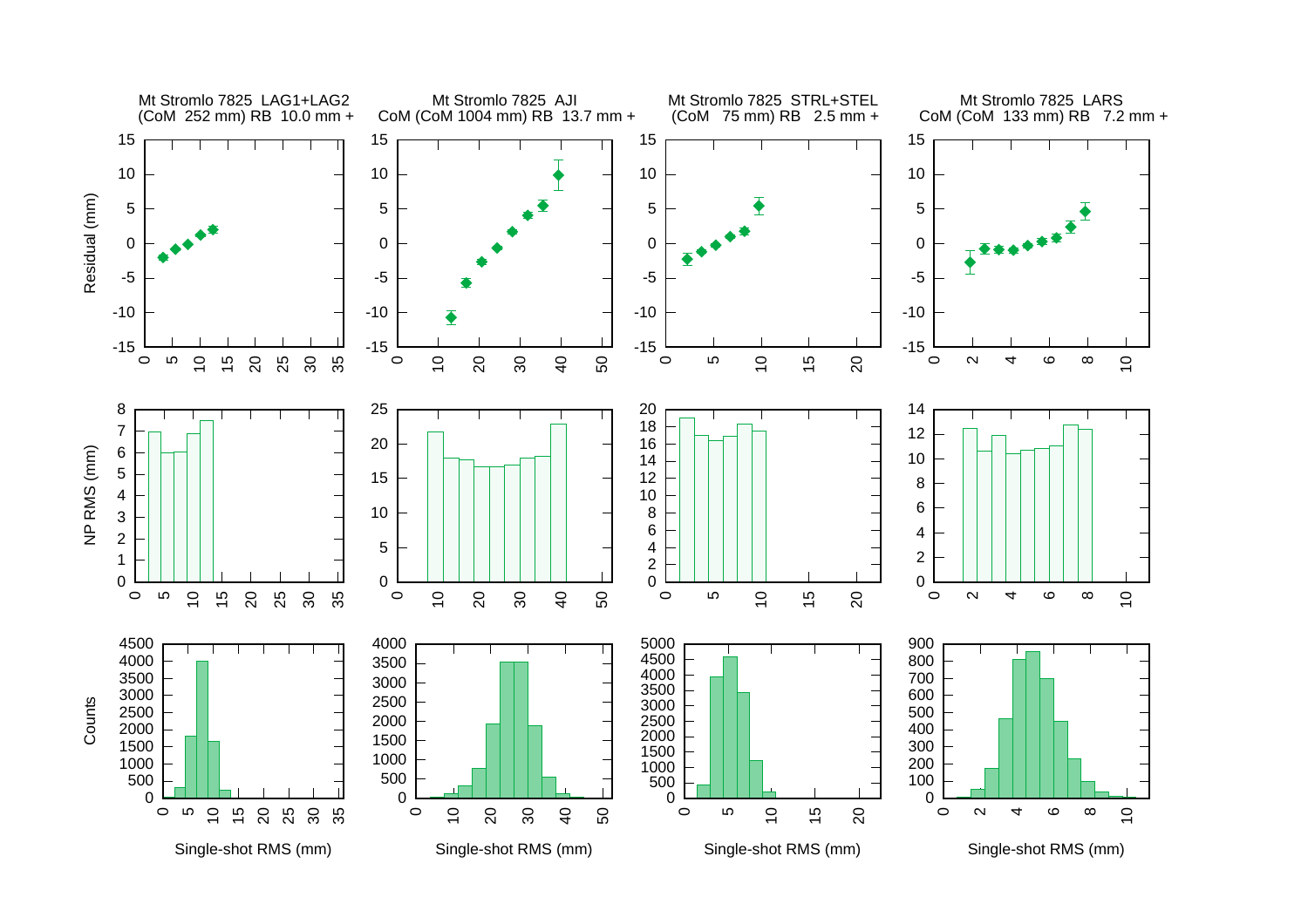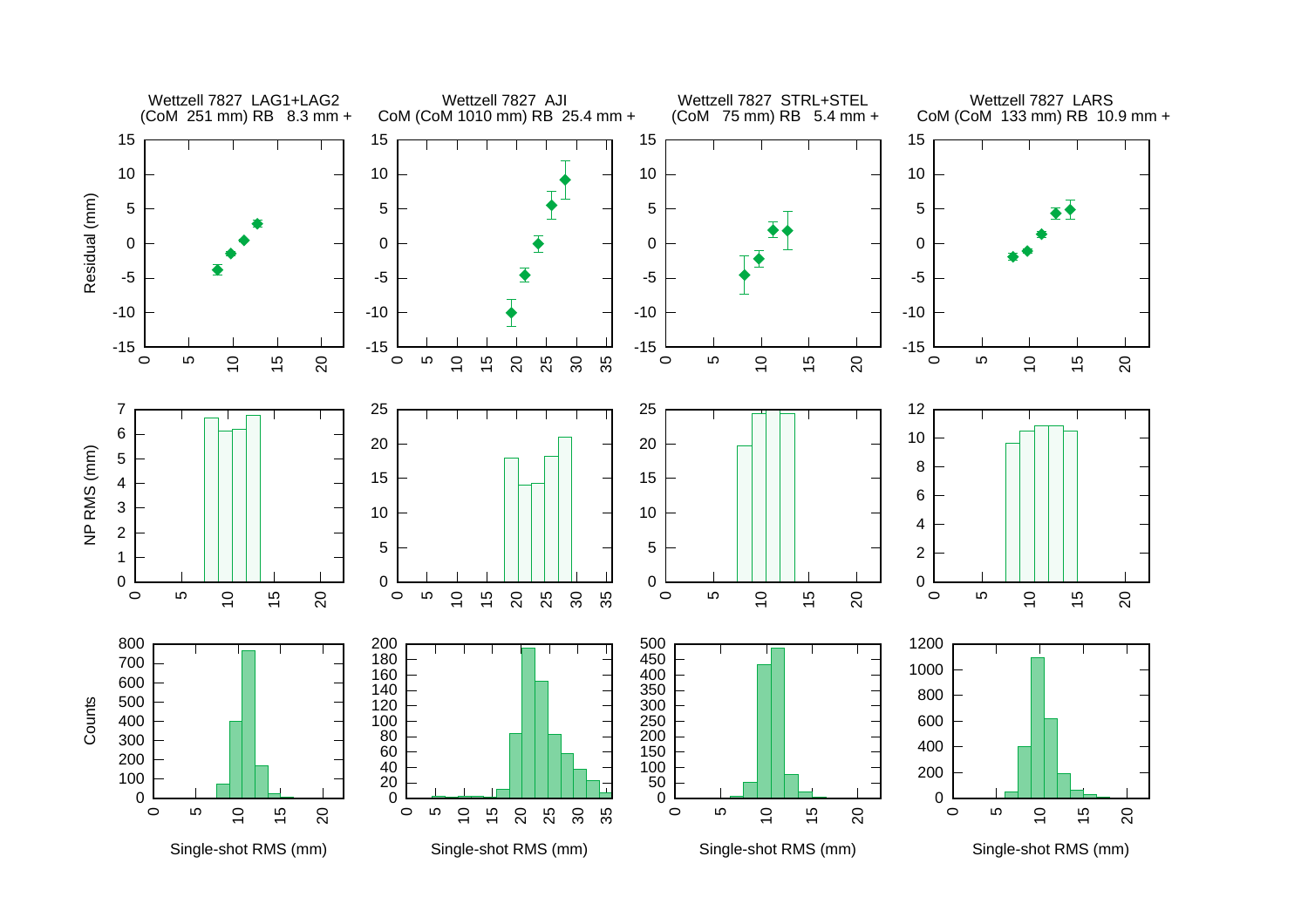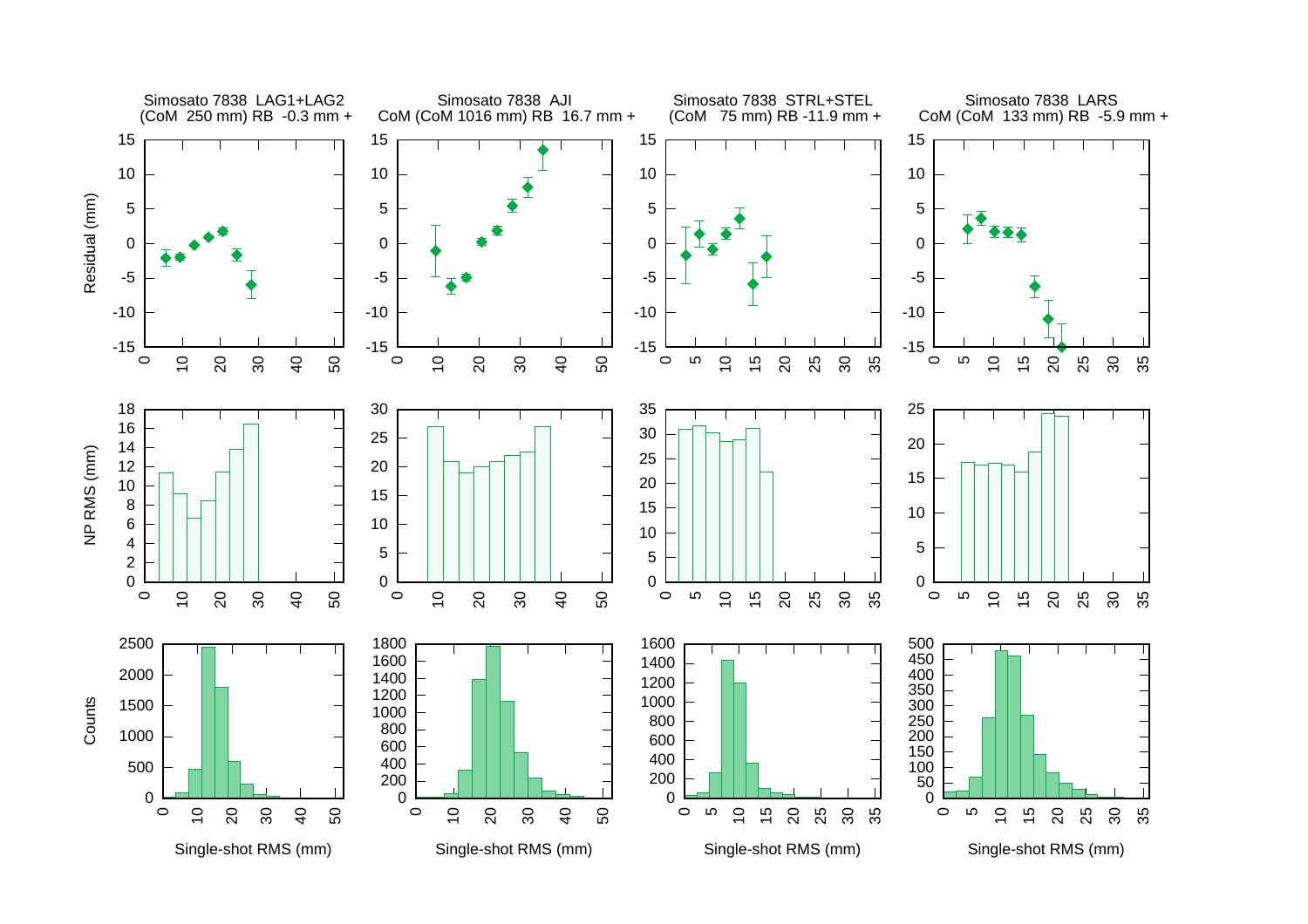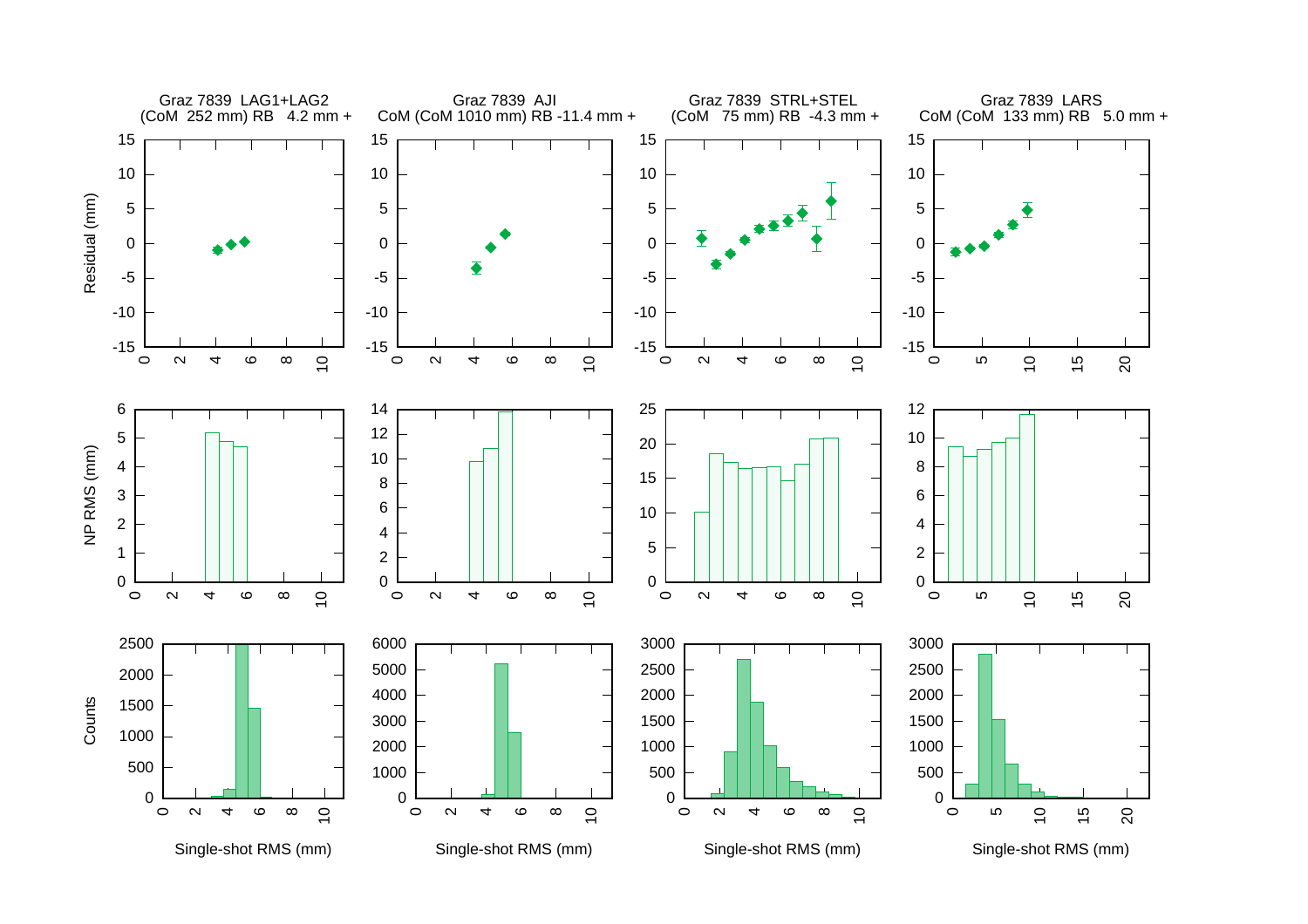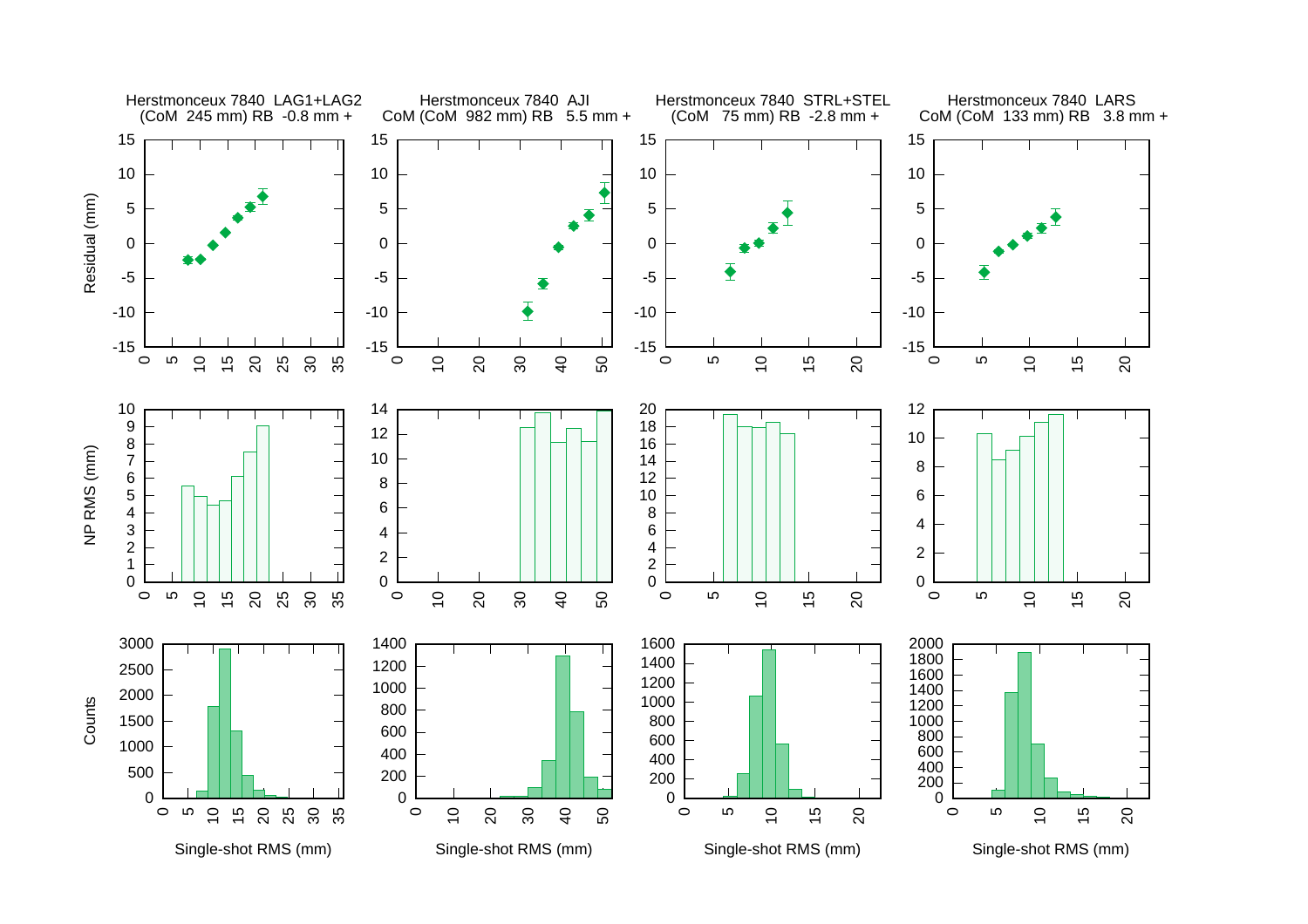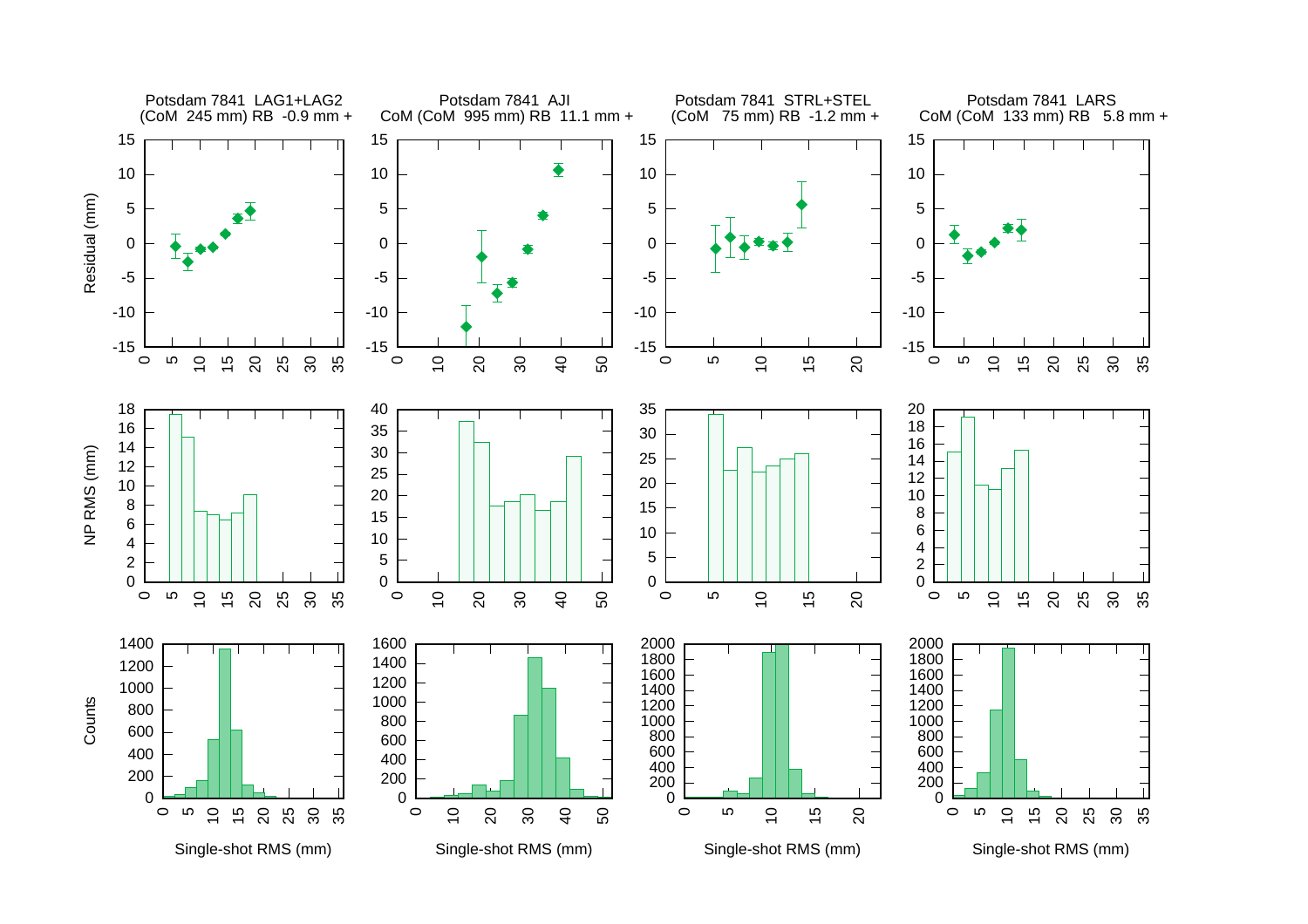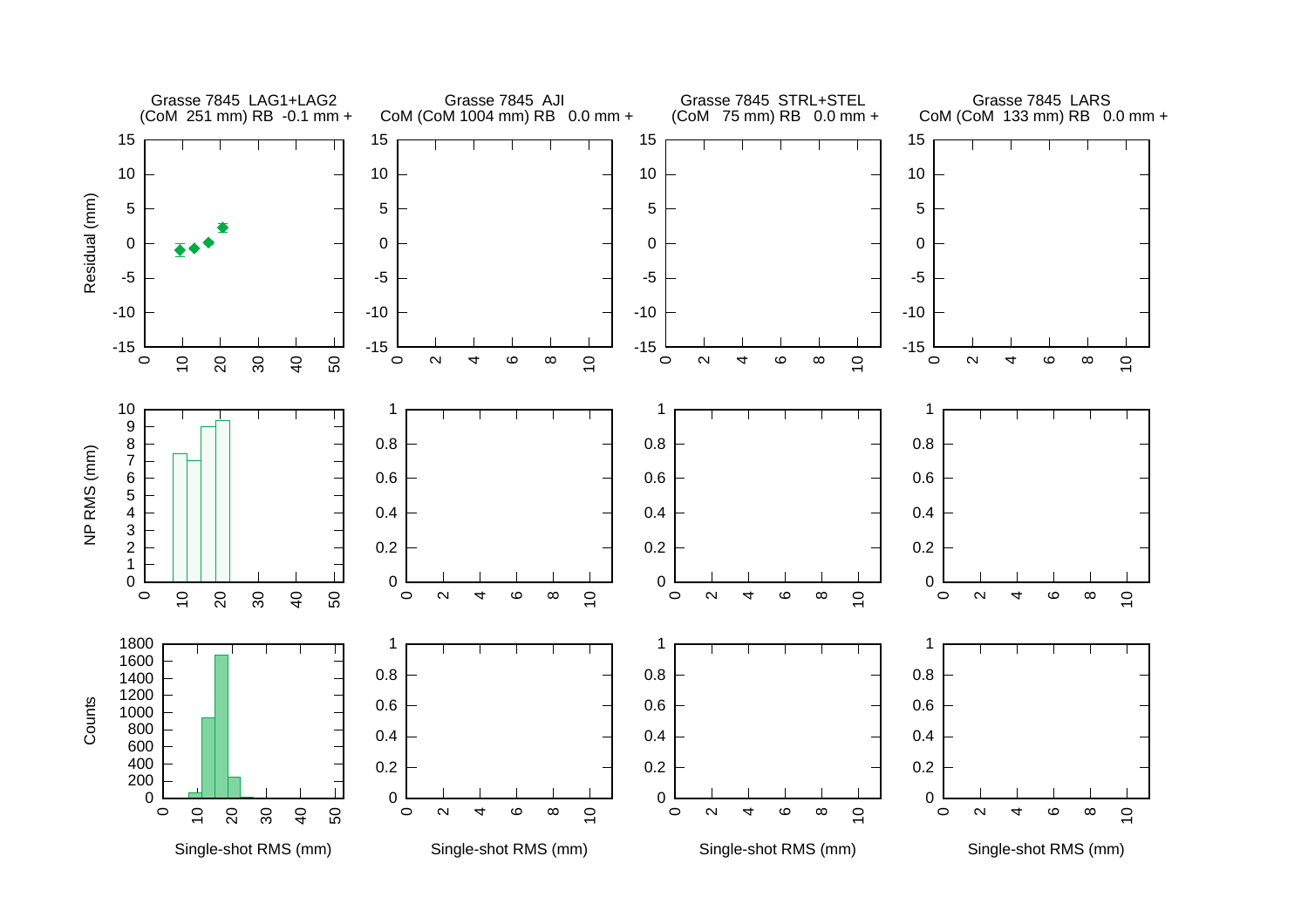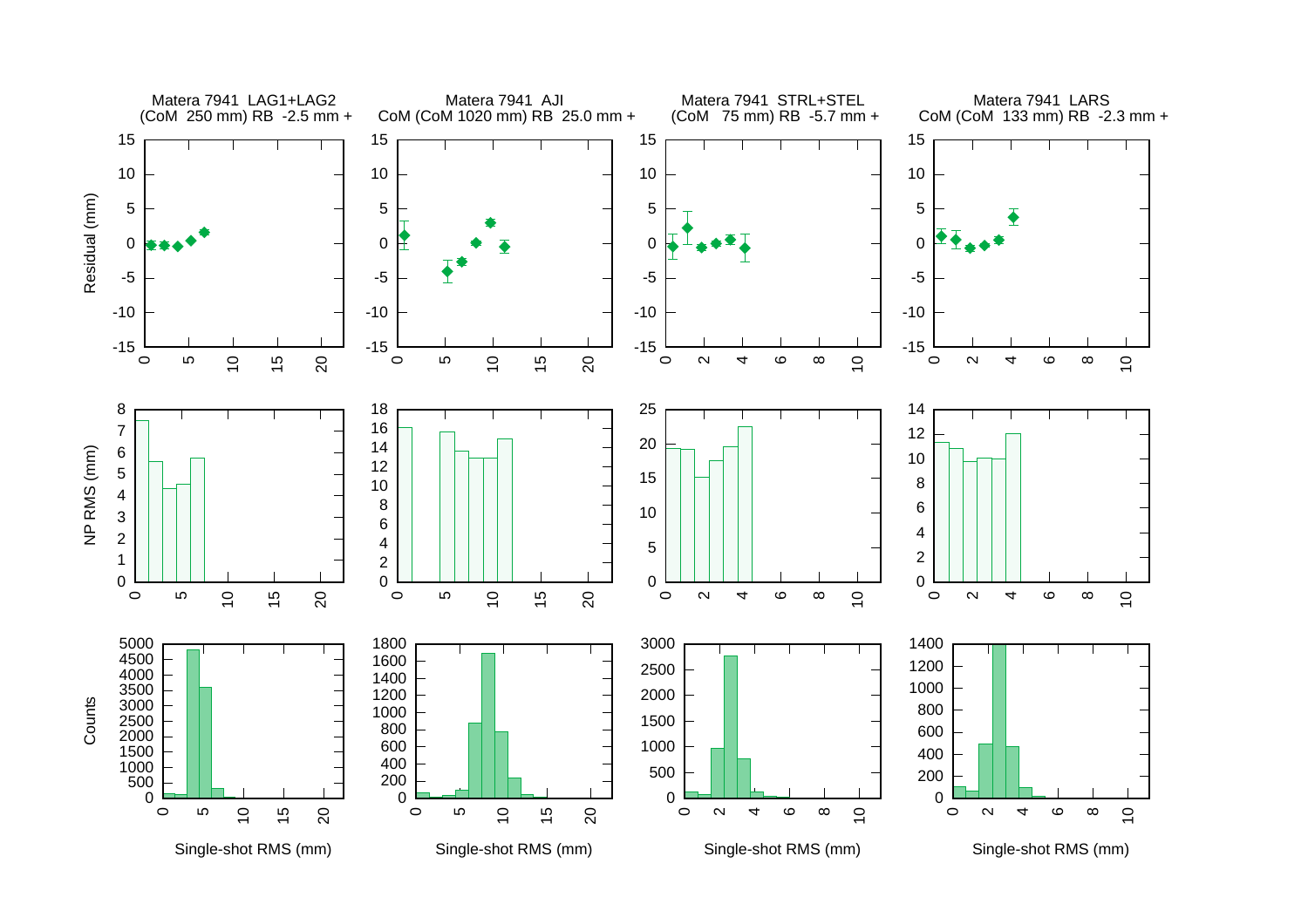